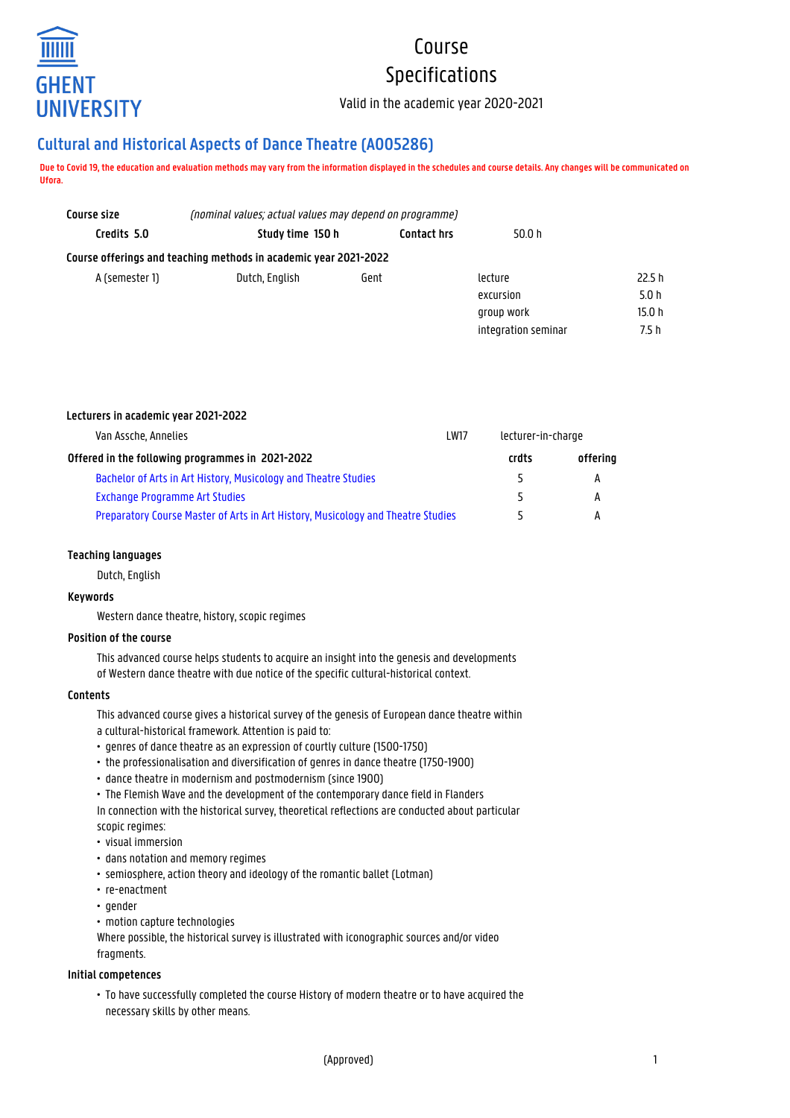

# Course Specifications

Valid in the academic year 2020-2021

# **Cultural and Historical Aspects of Dance Theatre (A005286)**

**Due to Covid 19, the education and evaluation methods may vary from the information displayed in the schedules and course details. Any changes will be communicated on Ufora.**

| Course size    | (nominal values; actual values may depend on programme)          |                    |                     |        |
|----------------|------------------------------------------------------------------|--------------------|---------------------|--------|
| Credits 5.0    | Study time 150 h                                                 | <b>Contact hrs</b> | 50.0 $h$            |        |
|                | Course offerings and teaching methods in academic year 2021-2022 |                    |                     |        |
| A (semester 1) | Dutch, English                                                   | Gent               | lecture             | 22.5h  |
|                |                                                                  |                    | excursion           | 5.0h   |
|                |                                                                  |                    | group work          | 15.0 h |
|                |                                                                  |                    | integration seminar | 7.5 h  |

# **Lecturers in academic year 2021-2022**

| Van Assche, Annelies<br><b>LW17</b>                                              |  | lecturer-in-charge |          |
|----------------------------------------------------------------------------------|--|--------------------|----------|
| Offered in the following programmes in 2021-2022                                 |  | crdts              | offerina |
| Bachelor of Arts in Art History, Musicology and Theatre Studies                  |  |                    |          |
| <b>Exchange Programme Art Studies</b>                                            |  | Ч                  |          |
| Preparatory Course Master of Arts in Art History, Musicology and Theatre Studies |  |                    |          |

# **Teaching languages**

Dutch, English

#### **Keywords**

Western dance theatre, history, scopic regimes

# **Position of the course**

This advanced course helps students to acquire an insight into the genesis and developments of Western dance theatre with due notice of the specific cultural-historical context.

# **Contents**

This advanced course gives a historical survey of the genesis of European dance theatre within

- a cultural-historical framework. Attention is paid to:
- genres of dance theatre as an expression of courtly culture (1500-1750)
- the professionalisation and diversification of genres in dance theatre (1750-1900)
- dance theatre in modernism and postmodernism (since 1900)
- The Flemish Wave and the development of the contemporary dance field in Flanders

In connection with the historical survey, theoretical reflections are conducted about particular scopic regimes:

- visual immersion
- dans notation and memory regimes
- semiosphere, action theory and ideology of the romantic ballet (Lotman)
- re-enactment
- gender
- motion capture technologies

Where possible, the historical survey is illustrated with iconographic sources and/or video fragments.

# **Initial competences**

• To have successfully completed the course History of modern theatre or to have acquired the • necessary skills by other means.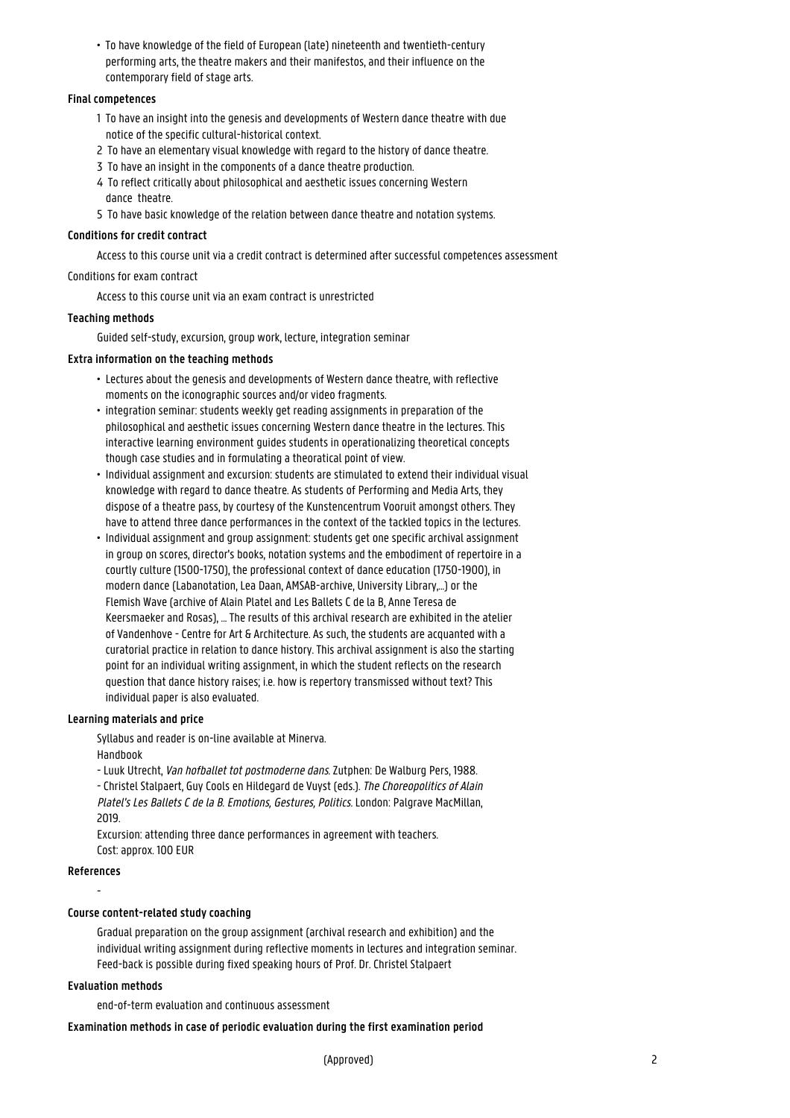• To have knowledge of the field of European (late) nineteenth and twentieth-century • performing arts, the theatre makers and their manifestos, and their influence on the contemporary field of stage arts.

# **Final competences**

- 1 To have an insight into the genesis and developments of Western dance theatre with due notice of the specific cultural-historical context.
- 2 To have an elementary visual knowledge with regard to the history of dance theatre.
- 3 To have an insight in the components of a dance theatre production.
- 4 To reflect critically about philosophical and aesthetic issues concerning Western dance theatre.
- 5 To have basic knowledge of the relation between dance theatre and notation systems.

# **Conditions for credit contract**

Access to this course unit via a credit contract is determined after successful competences assessment

# Conditions for exam contract

Access to this course unit via an exam contract is unrestricted

# **Teaching methods**

Guided self-study, excursion, group work, lecture, integration seminar

# **Extra information on the teaching methods**

- Lectures about the genesis and developments of Western dance theatre, with reflective • moments on the iconographic sources and/or video fragments.
- integration seminar: students weekly get reading assignments in preparation of the • philosophical and aesthetic issues concerning Western dance theatre in the lectures. This interactive learning environment guides students in operationalizing theoretical concepts • though case studies and in formulating a theoratical point of view.
- Individual assignment and excursion: students are stimulated to extend their individual visual • knowledge with regard to dance theatre. As students of Performing and Media Arts, they • dispose of a theatre pass, by courtesy of the Kunstencentrum Vooruit amongst others. They have to attend three dance performances in the context of the tackled topics in the lectures.
- Individual assignment and group assignment: students get one specific archival assignment • in group on scores, director's books, notation systems and the embodiment of repertoire in a • courtly culture (1500-1750), the professional context of dance education (1750-1900), in • modern dance (Labanotation, Lea Daan, AMSAB-archive, University Library,...) or the • Flemish Wave (archive of Alain Platel and Les Ballets C de la B, Anne Teresa de • Keersmaeker and Rosas), ... The results of this archival research are exhibited in the atelier • of Vandenhove - Centre for Art & Architecture. As such, the students are acquanted with a • curatorial practice in relation to dance history. This archival assignment is also the starting • point for an individual writing assignment, in which the student reflects on the research • question that dance history raises; i.e. how is repertory transmissed without text? This • individual paper is also evaluated.

# **Learning materials and price**

Syllabus and reader is on-line available at Minerva.

Handbook

- Luuk Utrecht, Van hofballet tot postmoderne dans. Zutphen: De Walburg Pers, 1988. - Christel Stalpaert, Guy Cools en Hildegard de Vuyst (eds.). The Choreopolitics of Alain Platel's Les Ballets C de la B. Emotions, Gestures, Politics. London: Palgrave MacMillan, 2019.

Excursion: attending three dance performances in agreement with teachers. Cost: approx. 100 EUR

# - **References**

# **Course content-related study coaching**

Gradual preparation on the group assignment (archival research and exhibition) and the individual writing assignment during reflective moments in lectures and integration seminar. Feed-back is possible during fixed speaking hours of Prof. Dr. Christel Stalpaert

#### **Evaluation methods**

end-of-term evaluation and continuous assessment

#### **Examination methods in case of periodic evaluation during the first examination period**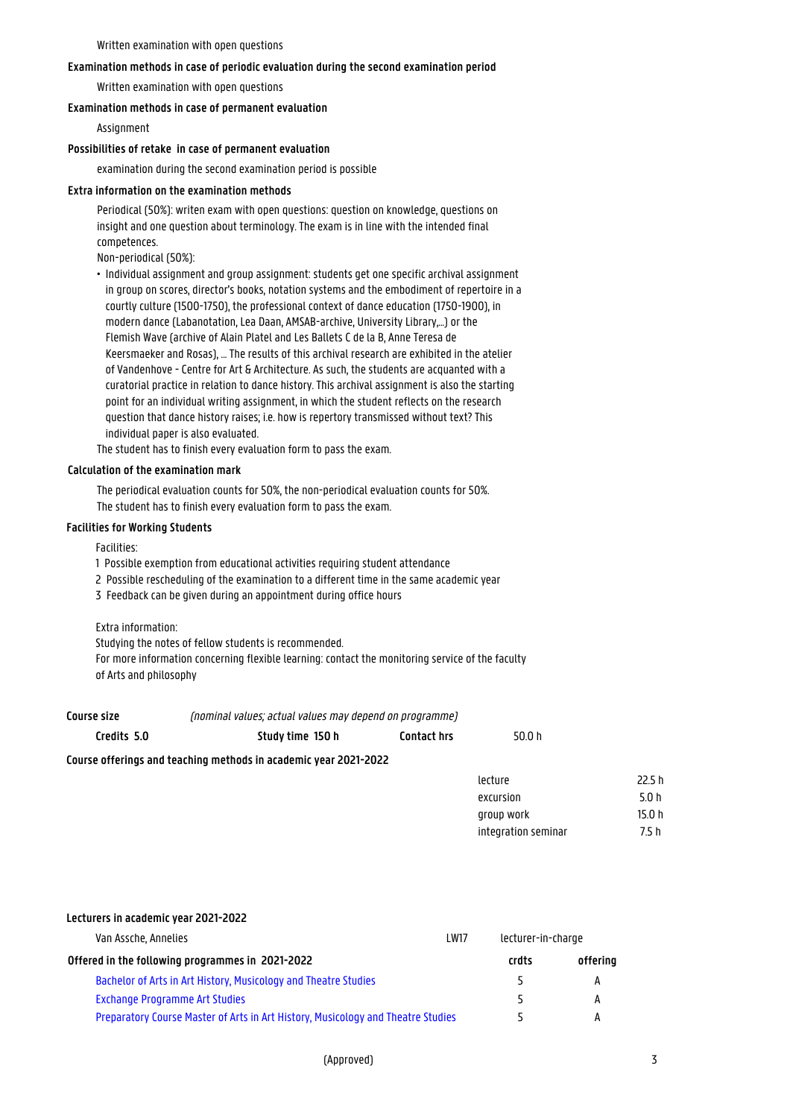Written examination with open questions

## **Examination methods in case of periodic evaluation during the second examination period**

Written examination with open questions

# **Examination methods in case of permanent evaluation**

Assignment

#### **Possibilities of retake in case of permanent evaluation**

examination during the second examination period is possible

# **Extra information on the examination methods**

Periodical (50%): writen exam with open questions: question on knowledge, questions on insight and one question about terminology. The exam is in line with the intended final competences.

Non-periodical (50%):

• Individual assignment and group assignment: students get one specific archival assignment • in group on scores, director's books, notation systems and the embodiment of repertoire in a • courtly culture (1500-1750), the professional context of dance education (1750-1900), in • modern dance (Labanotation, Lea Daan, AMSAB-archive, University Library,...) or the • Flemish Wave (archive of Alain Platel and Les Ballets C de la B, Anne Teresa de Keersmaeker and Rosas), ... The results of this archival research are exhibited in the atelier • of Vandenhove - Centre for Art & Architecture. As such, the students are acquanted with a • curatorial practice in relation to dance history. This archival assignment is also the starting • point for an individual writing assignment, in which the student reflects on the research • question that dance history raises; i.e. how is repertory transmissed without text? This • individual paper is also evaluated.

The student has to finish every evaluation form to pass the exam.

# **Calculation of the examination mark**

The periodical evaluation counts for 50%, the non-periodical evaluation counts for 50%. The student has to finish every evaluation form to pass the exam.

# **Facilities for Working Students**

# Facilities:

- 1 Possible exemption from educational activities requiring student attendance
- 2 Possible rescheduling of the examination to a different time in the same academic year
- 3 Feedback can be given during an appointment during office hours

#### Extra information:

Studying the notes of fellow students is recommended. For more information concerning flexible learning: contact the monitoring service of the faculty

of Arts and philosophy

| Course size | (nominal values; actual values may depend on programme) |                    |  |
|-------------|---------------------------------------------------------|--------------------|--|
| Credits 5.0 | Study time 150 h                                        | <b>Contact hrs</b> |  |

# **Course offerings and teaching methods in academic year 2021-2022**

| lecture             | 22.5h  |
|---------------------|--------|
| excursion           | 50 h   |
| group work          | 15.0 h |
| integration seminar | 75 h   |

50.0 h

#### **Lecturers in academic year 2021-2022**

| Van Assche, Annelies<br>LW17                                                     |  | lecturer-in-charge |          |
|----------------------------------------------------------------------------------|--|--------------------|----------|
| Offered in the following programmes in 2021-2022                                 |  | crdts              | offering |
| Bachelor of Arts in Art History, Musicology and Theatre Studies                  |  |                    | А        |
| <b>Exchange Programme Art Studies</b>                                            |  |                    | А        |
| Preparatory Course Master of Arts in Art History, Musicology and Theatre Studies |  |                    |          |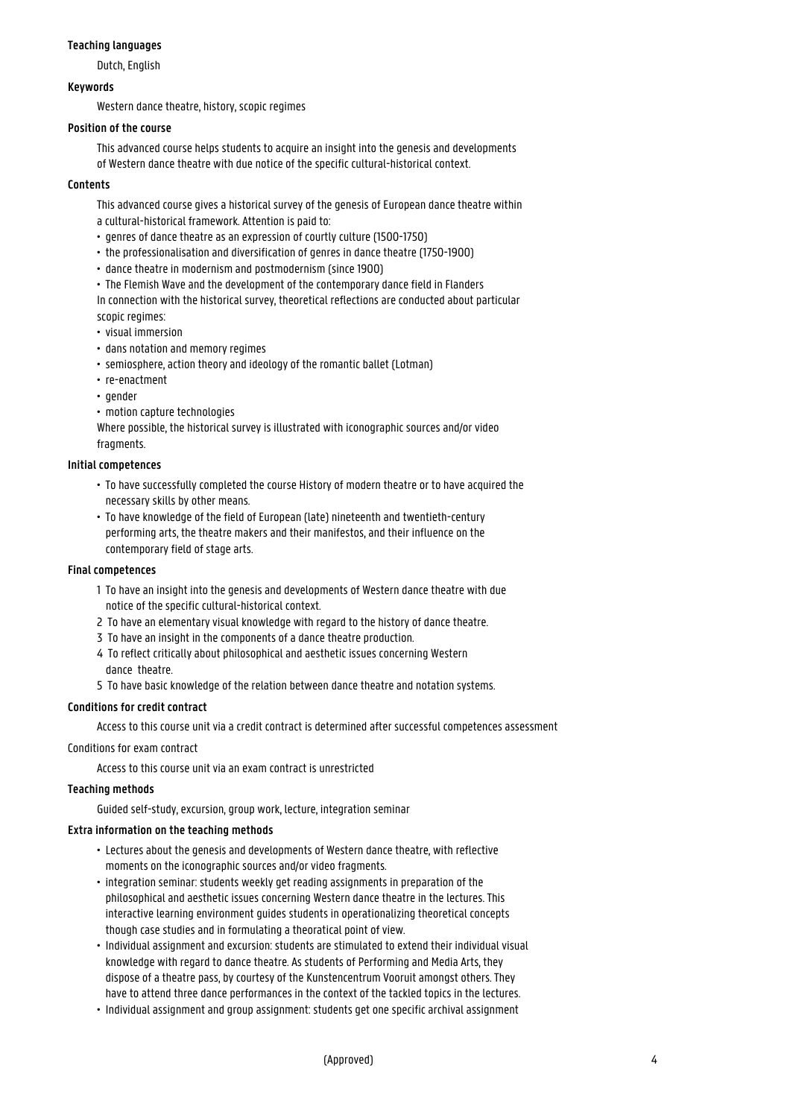# **Teaching languages**

Dutch, English

# **Keywords**

Western dance theatre, history, scopic regimes

# **Position of the course**

This advanced course helps students to acquire an insight into the genesis and developments of Western dance theatre with due notice of the specific cultural-historical context.

# **Contents**

This advanced course gives a historical survey of the genesis of European dance theatre within a cultural-historical framework. Attention is paid to:

- genres of dance theatre as an expression of courtly culture (1500-1750)
- the professionalisation and diversification of genres in dance theatre (1750-1900)
- dance theatre in modernism and postmodernism (since 1900)
- The Flemish Wave and the development of the contemporary dance field in Flanders

In connection with the historical survey, theoretical reflections are conducted about particular scopic regimes:

- visual immersion
- dans notation and memory regimes
- semiosphere, action theory and ideology of the romantic ballet (Lotman)
- re-enactment
- gender
- motion capture technologies

Where possible, the historical survey is illustrated with iconographic sources and/or video fragments.

# **Initial competences**

- To have successfully completed the course History of modern theatre or to have acquired the necessary skills by other means.
- To have knowledge of the field of European (late) nineteenth and twentieth-century • performing arts, the theatre makers and their manifestos, and their influence on the contemporary field of stage arts.

#### **Final competences**

- 1 To have an insight into the genesis and developments of Western dance theatre with due notice of the specific cultural-historical context.
- 2 To have an elementary visual knowledge with regard to the history of dance theatre.
- 3 To have an insight in the components of a dance theatre production.
- 4 To reflect critically about philosophical and aesthetic issues concerning Western dance theatre.
- 5 To have basic knowledge of the relation between dance theatre and notation systems.

# **Conditions for credit contract**

Access to this course unit via a credit contract is determined after successful competences assessment

#### Conditions for exam contract

Access to this course unit via an exam contract is unrestricted

#### **Teaching methods**

Guided self-study, excursion, group work, lecture, integration seminar

# **Extra information on the teaching methods**

- Lectures about the genesis and developments of Western dance theatre, with reflective • moments on the iconographic sources and/or video fragments.
- integration seminar: students weekly get reading assignments in preparation of the • philosophical and aesthetic issues concerning Western dance theatre in the lectures. This • interactive learning environment guides students in operationalizing theoretical concepts • though case studies and in formulating a theoratical point of view.
- Individual assignment and excursion: students are stimulated to extend their individual visual • knowledge with regard to dance theatre. As students of Performing and Media Arts, they • dispose of a theatre pass, by courtesy of the Kunstencentrum Vooruit amongst others. They have to attend three dance performances in the context of the tackled topics in the lectures.
- Individual assignment and group assignment: students get one specific archival assignment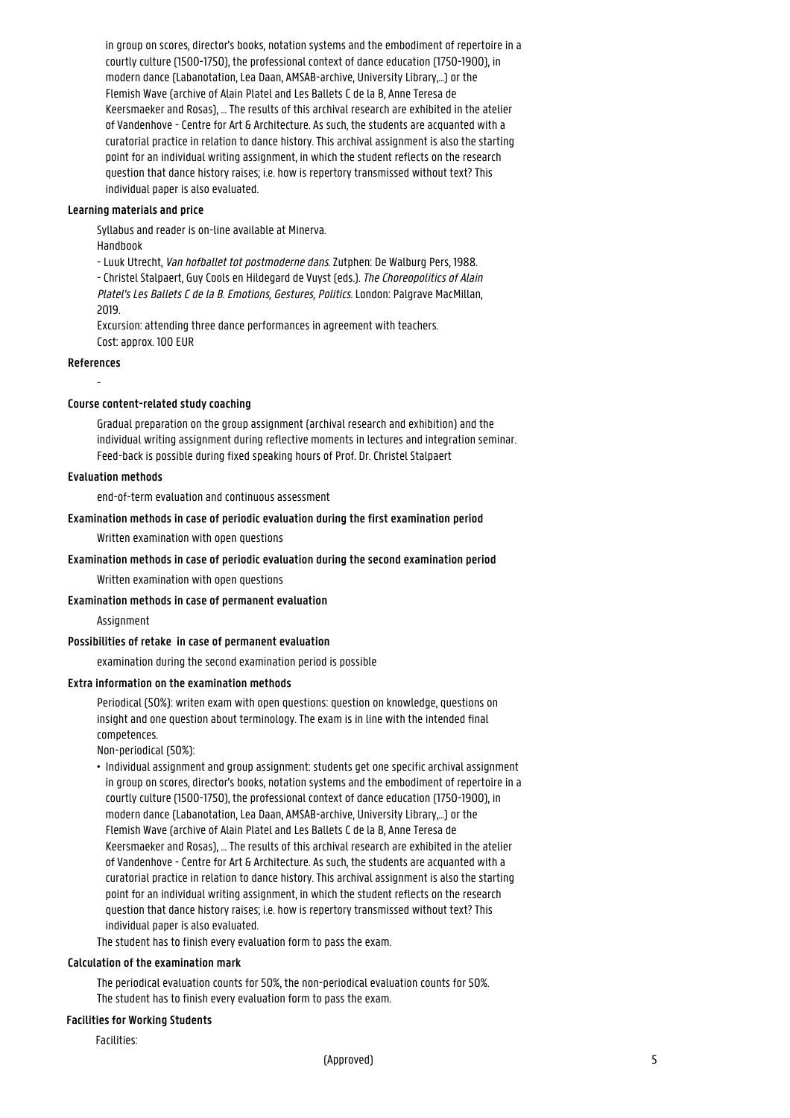• in group on scores, director's books, notation systems and the embodiment of repertoire in a • courtly culture (1500-1750), the professional context of dance education (1750-1900), in • modern dance (Labanotation, Lea Daan, AMSAB-archive, University Library,...) or the • Flemish Wave (archive of Alain Platel and Les Ballets C de la B, Anne Teresa de • Keersmaeker and Rosas), ... The results of this archival research are exhibited in the atelier • of Vandenhove - Centre for Art & Architecture. As such, the students are acquanted with a • curatorial practice in relation to dance history. This archival assignment is also the starting • point for an individual writing assignment, in which the student reflects on the research • question that dance history raises; i.e. how is repertory transmissed without text? This individual paper is also evaluated.

# **Learning materials and price**

Syllabus and reader is on-line available at Minerva. Handbook

- Luuk Utrecht, Van hofballet tot postmoderne dans. Zutphen: De Walburg Pers, 1988. - Christel Stalpaert, Guy Cools en Hildegard de Vuyst (eds.). The Choreopolitics of Alain Platel's Les Ballets C de la B. Emotions, Gestures, Politics. London: Palgrave MacMillan, 2019.

Excursion: attending three dance performances in agreement with teachers. Cost: approx. 100 EUR

#### **References**

-

# **Course content-related study coaching**

Gradual preparation on the group assignment (archival research and exhibition) and the individual writing assignment during reflective moments in lectures and integration seminar. Feed-back is possible during fixed speaking hours of Prof. Dr. Christel Stalpaert

### **Evaluation methods**

end-of-term evaluation and continuous assessment

#### **Examination methods in case of periodic evaluation during the first examination period**

Written examination with open questions

#### **Examination methods in case of periodic evaluation during the second examination period**

Written examination with open questions

#### **Examination methods in case of permanent evaluation**

Assignment

#### **Possibilities of retake in case of permanent evaluation**

examination during the second examination period is possible

#### **Extra information on the examination methods**

Periodical (50%): writen exam with open questions: question on knowledge, questions on insight and one question about terminology. The exam is in line with the intended final competences.

Non-periodical (50%):

• Individual assignment and group assignment: students get one specific archival assignment • in group on scores, director's books, notation systems and the embodiment of repertoire in a • courtly culture (1500-1750), the professional context of dance education (1750-1900), in • modern dance (Labanotation, Lea Daan, AMSAB-archive, University Library,...) or the • Flemish Wave (archive of Alain Platel and Les Ballets C de la B, Anne Teresa de • Keersmaeker and Rosas), ... The results of this archival research are exhibited in the atelier • of Vandenhove - Centre for Art & Architecture. As such, the students are acquanted with a • curatorial practice in relation to dance history. This archival assignment is also the starting • point for an individual writing assignment, in which the student reflects on the research • question that dance history raises; i.e. how is repertory transmissed without text? This individual paper is also evaluated.

The student has to finish every evaluation form to pass the exam.

#### **Calculation of the examination mark**

The periodical evaluation counts for 50%, the non-periodical evaluation counts for 50%. The student has to finish every evaluation form to pass the exam.

#### **Facilities for Working Students**

Facilities: